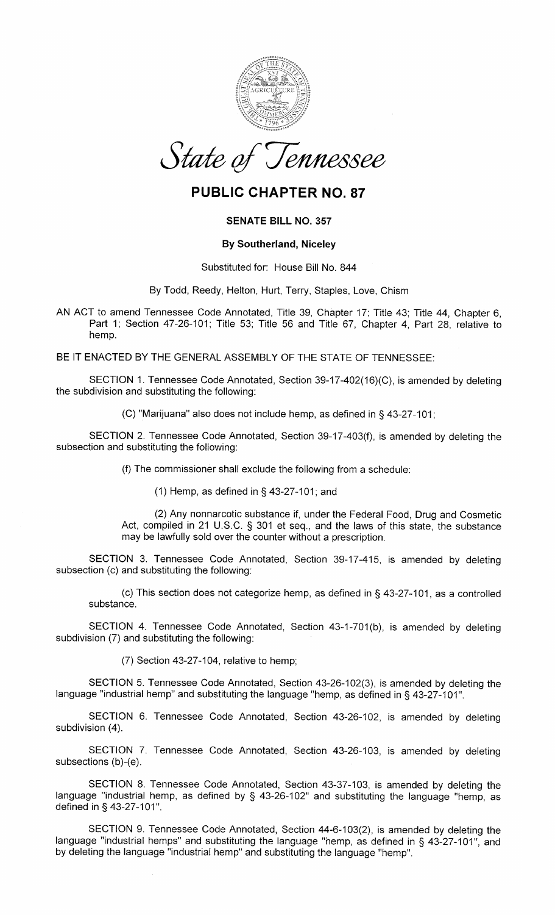

# PUBLIC CHAPTER NO.87

# SENATE BILL NO.357

## By Southerland, Niceley

#### Substituted for: House Bill No. 844

By Todd, Reedy, Helton, Hurt, Terry, Staples, Love, Chism

AN ACT to amend Tennessee Code Annotated, Title 39, Chapter 17; Title 43; Title 44, Chapter 6, Part 1; Section 47-26-101; Title 53; Title 56 and Title 67, Chapter 4, Part 28, relative tohemp.

BE IT ENACTED BY THE GENERAL ASSEMBLY OF THE STATE OF TENNESSEE:

SECTION 1. Tennessee Code Annotated, Section 39-17-402(16)(C), is amended by deleting the subdivision and substituting the following:

(C) "Marijuana" also does not include hemp, as defined in \$ 43-27-101,

SECTION 2. Tennessee Code Annotated, Section 39-17-403(f), is amended by deleting thesubsection and substituting the following:

(f) The commissioner shall exclude the following from a schedule:

(1) Hemp, as defined in  $\S$  43-27-101; and

(2) Any nonnarcotic substance if, under the Federal Food, Drug and Cosmetic Act, compiled in 21 U.S.C. S 301 et seq., and the laws of this state, the substancemay be lawfully sold over the counter without a prescription.

SECTION 3. Tennessee Code Annotated, Section 39-17-415, is amended by deletingsubsection (c) and substituting the following:

(c) This section does not categorize hemp, as defined in \$ 43-27-101, as a controlledsubstance.

SECTION 4. Tennessee Code Annotated, Section 43-1-701(b), is amended by deletingsubdivision (7) and substituting the following:

(7) Section 43-27-104, relative to hemp;

SECTION 5. Tennessee Code Annotated, Section 43-26-102(3), is amended by deleting thelanguage "industrial hemp" and substituting the language "hemp, as defined in § 43-27-101".

SECTION 6. Tennessee Code Annotated, Section 43-26-102, is amended by deletingsubdivision (4).

SECTION 7. Tennessee Code Annotated, Section 43-26-103, is amended by deleting subsections (b)-(e).

SECTION 8. Tennessee Code Annotated, Section 43-37-103, is amended by deleting the language "industrial hemp, as defined by \$ a3-26-102" and substituting the language "hemp, asdefined in § 43-27-101".

SECTION 9. Tennessee Gode Annotated, Section 44-6-103(2), is amended by deleting thelanguage "industrial hemps" and substituting the language "hemp, as defined in § 43-27-101", anc by deleting the language "industrial hemp" and substituting the language "hemp".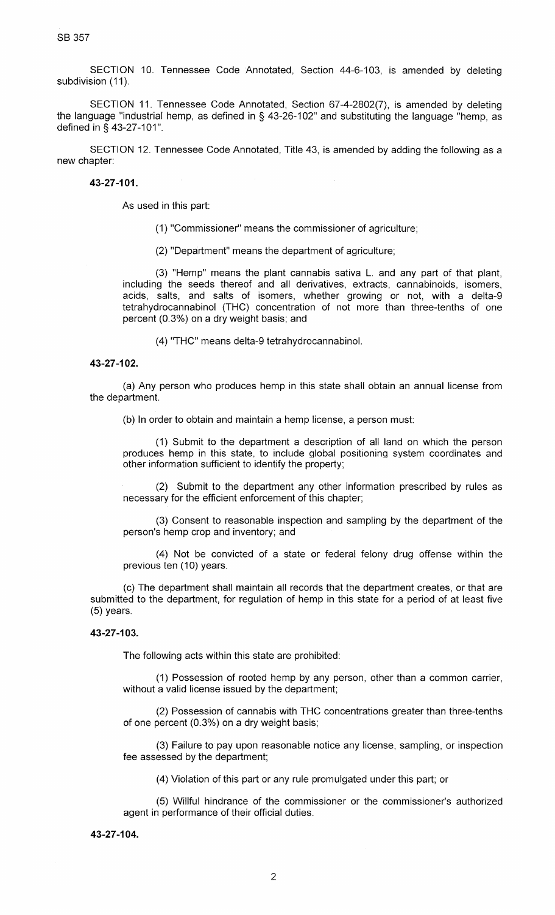SB 357

SECTION 10. Tennessee Code Annotated, Section 44-6-103, is amended by deletingsubdivision (11).

SECTION 11. Tennessee Code Annotated, Section 67-4-2802(7), is amended by deletingthe language "industrial hemp, as defined in § 43-26-102" and substituting the language "hemp, as defined in § 43-27-101".

SECTION 12. Tennessee Code Annotated, Title 43, is amended by adding the following as anew chapter:

43-27-101.

As used in this part

(1) "Commissioner" means the commissioner of agriculture;

(2) "Department" means the department of agriculture;

(3) "Hemp" means the plant cannabis sativa L. and any part of that plant, including the seeds thereof and all derivatives, extracts, cannabinoids, isomers, acids, salts, and salts of isomers, whether growing or not, with a delta-9 tetrahydrocannabinol (THC) concentration of not more than three-tenths of onepercent (0.3%) on a dry weight basis; and

(4) "THC" means delta-9 tetrahydrocannabinol.

#### 43-27-102.

(a) Any person who produces hemp in this state shall obtain an annual license fromthe department.

(b) ln order to obtain and maintain a hemp license, a person must:

(1) Submit to the department a description of all land on which the person produces hemp in this state, to include global positioning system coordinates andother information sufficient to identify the property;

(2) Submit to the department any other information prescribed by rules asnecessary for the efficient enforcement of this chapter;

(3) Consent to reasonable inspection and sampling by the department of theperson's hemp crop and inventory; and

(4) Not be convicted of a state or federal felony drug offense within theprevious ten (10) years.

(c) The department shall maintain all records that the department creates, or that are submitted to the department, for regulation of hemp in this state for a period of at least five(5) years.

### 43-27-103.

The following acts within this state are prohibited:

(1) Possession of rooted hemp by any person, other than a common carrier, without a valid license issued by the department;

(2) Possession of cannabis with THC concentrations greater than three-tenths of one percent (0.3%) on a dry weight basis;

(3) Failure to pay upon reasonable notice any license, sampling, or inspectionfee assessed by the department;

(4) Violation of this part or any rule promulgated under this part; or

(5) Willful hindrance of the commissioner or the commissioner's authorizedagent in performance of their official duties.

#### 43-27-104.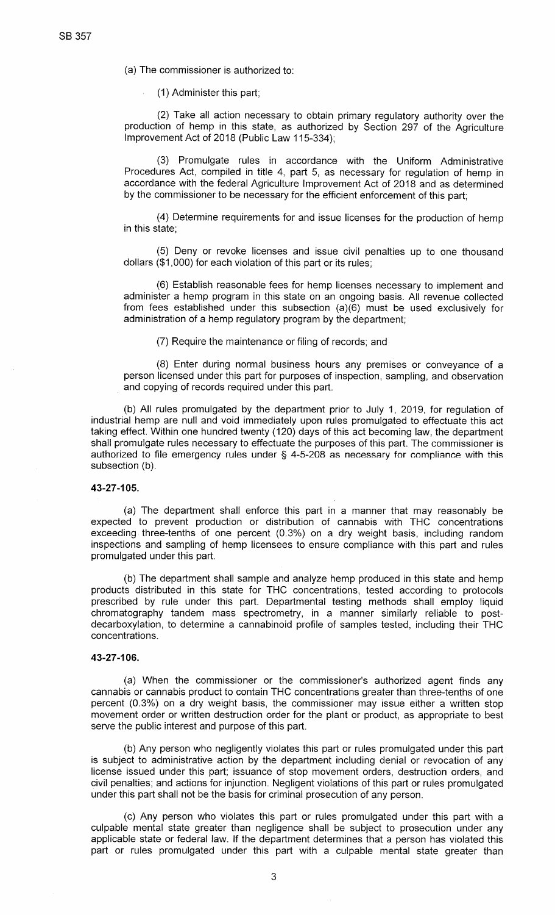(a) The commissioner is authorized to:

(1 ) Administer this part;

(2) Take all action necessary to obtain primary regulatory authority over the production of hemp in this state, as authorized by Section 297 of the Agriculturelmprovement Act of 2Q18 (Public Law 115-334);

(3) Promulgate rules in accordance with the Uniform Administrative Procedures Act, compiled in title 4, part 5, as necessary for regulation of hemp in accordance with the federal Agriculture lmprovement Act of 2O18 and as determinedby the commissioner to be necessary for the efficient enforcement of this part;

(4) Determine requirements for and issue licenses for the production of hempin this state;

(5) Deny or revoke licenses and issue civil penalties up to one thousanddollars (\$1,000) for each violation of this part or its rules;

(6) Establish reasonable fees for hemp licenses necessary to implement and administer a hemp program in this state on an ongoing basis. All revenue collected from fees established under this subsection (a)(6) must be used exclusively foradministration of a hemp regulatory program by the department;

(7) Require the maintenance or filing of records; and

(8) Enter during normal business hours any premises or conveyance of a person licensed under this part for purposes of inspection, sampling, and observationand copying of records required under this part.

(b) All rules promulgated by the department prior to July 1,2019, for regulation of industrial hemp are null and void immediately upon rules promulgated to effectuate this act taking effect. Within one hundred twenty (120) days of this act becoming law, the department shall promulgate rules necessary to effectuate the purposes of this part. The commissioner is authorized to file emergency rules under \$ 4-5-208 as necessary for compliance with thissubsection (b).

#### 43-27-105,

(a) The department shall enforce this part in a manner that may reasonably be expected to prevent production or distribution of cannabis with THC concentrationsexceeding three-tenths of one percent (0.3%) on a dry weight basis, including random inspections and sampling of hemp licensees to ensure compliance with this part and rulespromulgated under this part.

(b) The department shall sample and analyze hemp produced in this state and hemp products distributed in this state for THC concentrations, tested according to protocols prescribed by rule under this part. Departmental testing methods shall employ liquid chromatography tandem mass spectrometry, in a manner similarly reliable to postdecarboxylation, to determine a cannabinoid profile of samples tested, including their THCconcentrations.

#### 43-27-106.

(a) When the commissioner or the commissioner's authorized agent finds any cannabis or cannabis product to contain THC concentrations greater than three-tenths of one percent (0.3%) on a dry weight basis, the commissioner may issue either a written stop movement order or written destruction order for the plant or product, as appropriate to bestserve the public interest and purpose of this part.

(b) Any person who negligently violates this part or rules promulgated under this part is subject to administrative action by the department including denial or revocation of any license issued under this part; issuance of stop movement orders, destruction orders, andcivil penalties; and actions for injunction. Negligent violations of this part or rules promulgated under this part shall not be the basis for criminal prosecution of any person.

(c) Any person who violates this part or rules promulgated under this part with a culpable mental state greater than negligence shall be subject to prosecution under any applicable state or federal law. lf the department determines that a person has violated thispart or rules promulgated under this part with a culpable mental state greater than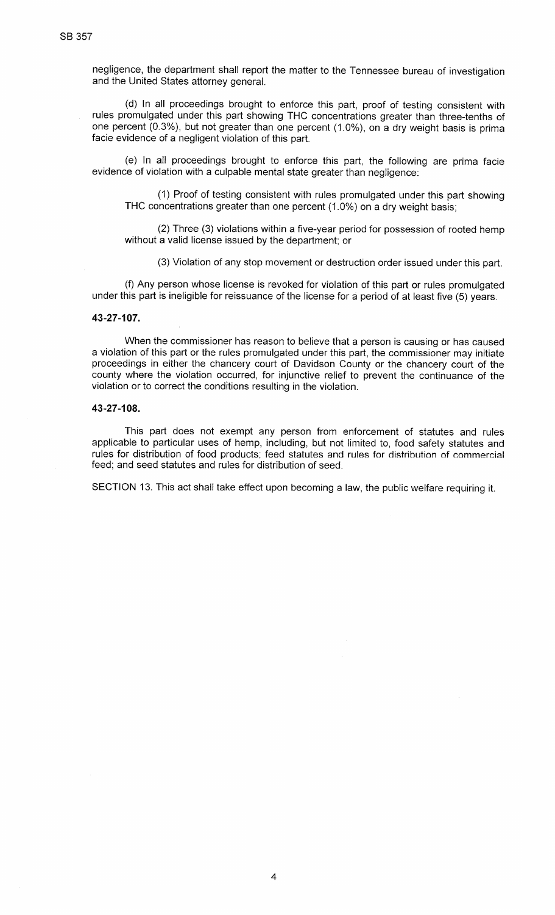negligence, the department shall report the matter to the Tennessee bureau of investigationand the United States attorney general.

(d) ln all proceedings brought to enforce this part, proof of testing consistent withrules promulgated under this part showing THC concentrations greater than three-tenths of one percent (0.3%), but not greater than one percent (1.0%), on a dry weight basis is primafacie evidence of a negligent violation of this part.

(e) ln all proceedings brought to enforce this part, the following are prima facieevidence of violation with a culpable mental state greater than negligence:

(1) Proof of testing consistent with rules promulgated under this part showingTHC concentrations greater than one percent (1.0%) on a dry weight basis;

(2) Three (3) violations within a five-year period for possession of rooted hempwithout a valid license issued by the department; or

(3) Violation of any stop movement or destruction order issued under this part.

(f) Any person whose license is revoked for violation of this part or rules promulgated under this part is ineligible for reissuance of the license for a period of at least five (5) years.

#### 43-27-107,

When the commissioner has reason to believe that a person is causing or has caused a violation of this part or the rules promulgated under this part, the commissioner may initiate proceedings in either the chancery court of Davidson County or the chancery court of the county where the violation occurred, for injunctive relief to prevent the continuance of theviolation or to correct the conditions resulting in the violation.

#### 43-27-108.

This part does not exempt any person from enforcement of statutes and rules applicable to particular uses of hemp, including, but not limited to, food safety statutes and rules for distribution of food products; feed statutes and rules for distribution of commercialfeed; and seed statutes and rules for distribution of seed.

SECTION 13. This act shall take effect upon becoming a law, the public welfare requiring it.